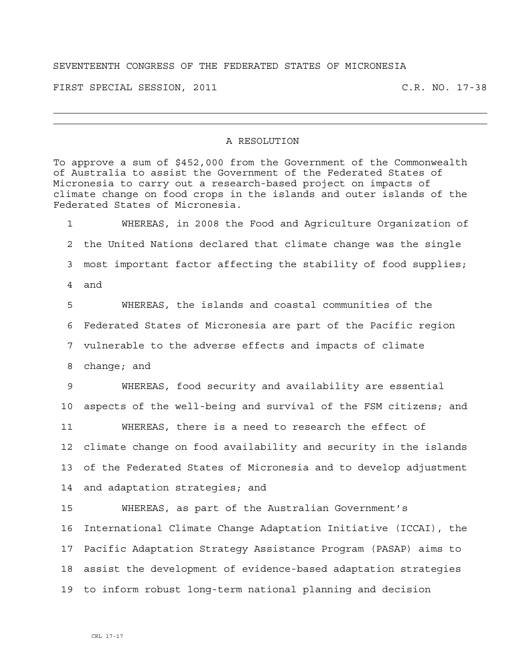## SEVENTEENTH CONGRESS OF THE FEDERATED STATES OF MICRONESIA

FIRST SPECIAL SESSION, 2011 C.R. NO. 17-38

## A RESOLUTION

To approve a sum of \$452,000 from the Government of the Commonwealth of Australia to assist the Government of the Federated States of Micronesia to carry out a research-based project on impacts of climate change on food crops in the islands and outer islands of the Federated States of Micronesia.

1 WHEREAS, in 2008 the Food and Agriculture Organization of 2 the United Nations declared that climate change was the single 3 most important factor affecting the stability of food supplies; 4 and 5 WHEREAS, the islands and coastal communities of the 6 Federated States of Micronesia are part of the Pacific region 7 vulnerable to the adverse effects and impacts of climate 8 change; and 9 WHEREAS, food security and availability are essential 10 aspects of the well-being and survival of the FSM citizens; and

11 WHEREAS, there is a need to research the effect of 12 climate change on food availability and security in the islands 13 of the Federated States of Micronesia and to develop adjustment 14 and adaptation strategies; and

15 WHEREAS, as part of the Australian Government's 16 International Climate Change Adaptation Initiative (ICCAI), the 17 Pacific Adaptation Strategy Assistance Program (PASAP) aims to 18 assist the development of evidence-based adaptation strategies 19 to inform robust long-term national planning and decision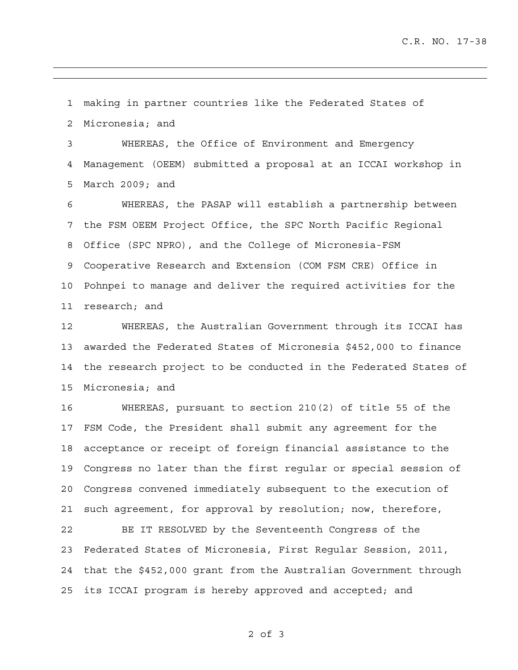C.R. NO. 17-38

1 making in partner countries like the Federated States of 2 Micronesia; and 3 WHEREAS, the Office of Environment and Emergency 4 Management (OEEM) submitted a proposal at an ICCAI workshop in 5 March 2009; and

6 WHEREAS, the PASAP will establish a partnership between 7 the FSM OEEM Project Office, the SPC North Pacific Regional 8 Office (SPC NPRO), and the College of Micronesia-FSM 9 Cooperative Research and Extension (COM FSM CRE) Office in 10 Pohnpei to manage and deliver the required activities for the 11 research; and

12 WHEREAS, the Australian Government through its ICCAI has 13 awarded the Federated States of Micronesia \$452,000 to finance 14 the research project to be conducted in the Federated States of 15 Micronesia; and

16 WHEREAS, pursuant to section 210(2) of title 55 of the 17 FSM Code, the President shall submit any agreement for the 18 acceptance or receipt of foreign financial assistance to the 19 Congress no later than the first regular or special session of 20 Congress convened immediately subsequent to the execution of 21 such agreement, for approval by resolution; now, therefore, 22 BE IT RESOLVED by the Seventeenth Congress of the 23 Federated States of Micronesia, First Regular Session, 2011, 24 that the \$452,000 grant from the Australian Government through 25 its ICCAI program is hereby approved and accepted; and